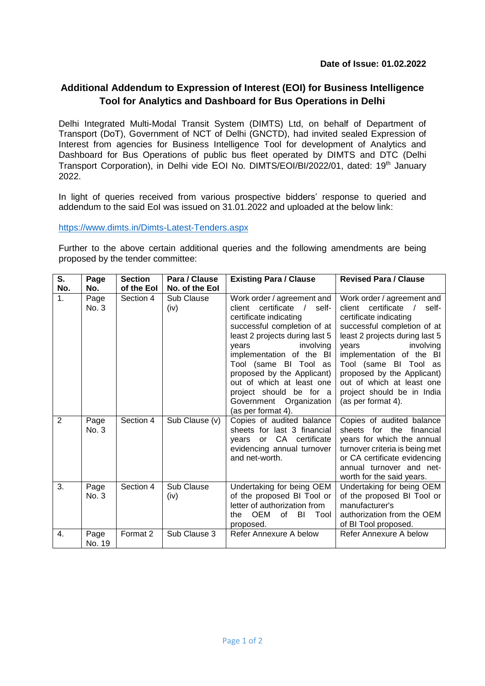## **Additional Addendum to Expression of Interest (EOI) for Business Intelligence Tool for Analytics and Dashboard for Bus Operations in Delhi**

Delhi Integrated Multi-Modal Transit System (DIMTS) Ltd, on behalf of Department of Transport (DoT), Government of NCT of Delhi (GNCTD), had invited sealed Expression of Interest from agencies for Business Intelligence Tool for development of Analytics and Dashboard for Bus Operations of public bus fleet operated by DIMTS and DTC (Delhi Transport Corporation), in Delhi vide EOI No. DIMTS/EOI/BI/2022/01. dated: 19<sup>th</sup> January 2022.

In light of queries received from various prospective bidders' response to queried and addendum to the said EoI was issued on 31.01.2022 and uploaded at the below link:

<https://www.dimts.in/Dimts-Latest-Tenders.aspx>

Further to the above certain additional queries and the following amendments are being proposed by the tender committee:

| S.               | Page           | <b>Section</b> | Para / Clause      | <b>Existing Para / Clause</b>                                                                                                                                                                                                                                                                                                                                               | <b>Revised Para / Clause</b>                                                                                                                                                                                                                                                                                                                                 |
|------------------|----------------|----------------|--------------------|-----------------------------------------------------------------------------------------------------------------------------------------------------------------------------------------------------------------------------------------------------------------------------------------------------------------------------------------------------------------------------|--------------------------------------------------------------------------------------------------------------------------------------------------------------------------------------------------------------------------------------------------------------------------------------------------------------------------------------------------------------|
| No.              | No.            | of the Eol     | No. of the Eol     |                                                                                                                                                                                                                                                                                                                                                                             |                                                                                                                                                                                                                                                                                                                                                              |
| 1.               | Page<br>No. 3  | Section 4      | Sub Clause<br>(iv) | Work order / agreement and<br>certificate /<br>self-<br>client<br>certificate indicating<br>successful completion of at<br>least 2 projects during last 5<br>involving<br>years<br>implementation of the BI<br>Tool (same BI Tool as<br>proposed by the Applicant)<br>out of which at least one<br>project should be for a<br>Government Organization<br>(as per format 4). | Work order / agreement and<br>client certificate<br>$\sqrt{ }$<br>self-<br>certificate indicating<br>successful completion of at<br>least 2 projects during last 5<br>years<br>involving<br>implementation of the BI<br>Tool (same BI Tool as<br>proposed by the Applicant)<br>out of which at least one<br>project should be in India<br>(as per format 4). |
| $\overline{2}$   | Page<br>No. 3  | Section 4      | Sub Clause (v)     | Copies of audited balance<br>sheets for last 3 financial<br>or CA certificate<br>vears<br>evidencing annual turnover<br>and net-worth.                                                                                                                                                                                                                                      | Copies of audited balance<br>sheets for the financial<br>years for which the annual<br>turnover criteria is being met<br>or CA certificate evidencing<br>annual turnover and net-<br>worth for the said years.                                                                                                                                               |
| $\overline{3}$ . | Page<br>No. 3  | Section 4      | Sub Clause<br>(iv) | Undertaking for being OEM<br>of the proposed BI Tool or<br>letter of authorization from<br>OEM<br>of BI<br>Tool<br>the<br>proposed.                                                                                                                                                                                                                                         | Undertaking for being OEM<br>of the proposed BI Tool or<br>manufacturer's<br>authorization from the OEM<br>of BI Tool proposed.                                                                                                                                                                                                                              |
| 4.               | Page<br>No. 19 | Format 2       | Sub Clause 3       | Refer Annexure A below                                                                                                                                                                                                                                                                                                                                                      | Refer Annexure A below                                                                                                                                                                                                                                                                                                                                       |